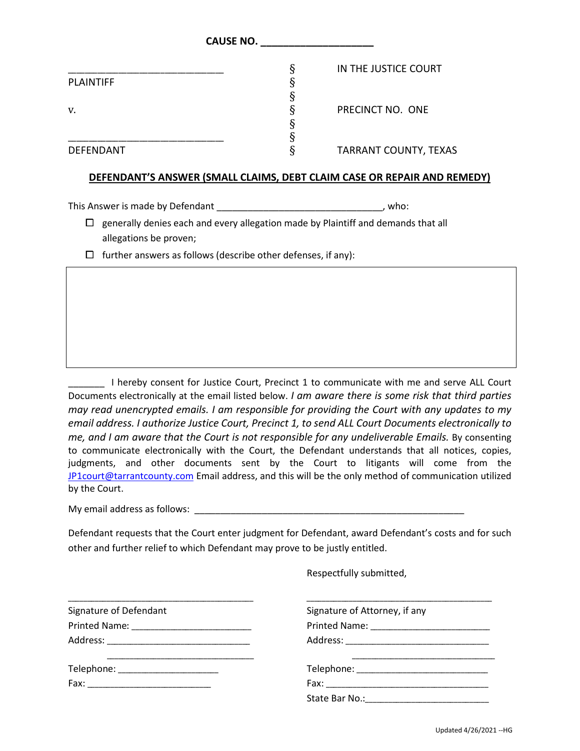|                  | <b>CAUSE NO.</b>             |  |
|------------------|------------------------------|--|
|                  | Ş<br>IN THE JUSTICE COURT    |  |
| <b>PLAINTIFF</b> |                              |  |
|                  |                              |  |
| v.               | PRECINCT NO. ONE             |  |
|                  |                              |  |
|                  |                              |  |
| <b>DEFENDANT</b> | <b>TARRANT COUNTY, TEXAS</b> |  |

## **DEFENDANT'S ANSWER (SMALL CLAIMS, DEBT CLAIM CASE OR REPAIR AND REMEDY)**

This Answer is made by Defendant This Answer is made by Defendant

 $\Box$  generally denies each and every allegation made by Plaintiff and demands that all allegations be proven;

 $\Box$  further answers as follows (describe other defenses, if any):

\_\_\_\_\_\_\_ I hereby consent for Justice Court, Precinct 1 to communicate with me and serve ALL Court Documents electronically at the email listed below. *I am aware there is some risk that third parties may read unencrypted emails. I am responsible for providing the Court with any updates to my email address. I authorize Justice Court, Precinct 1, to send ALL Court Documents electronically to me, and I am aware that the Court is not responsible for any undeliverable Emails.* By consenting to communicate electronically with the Court, the Defendant understands that all notices, copies, judgments, and other documents sent by the Court to litigants will come from the [JP1court@tarrantcounty.com](mailto:JP1court@tarrantcounty.com) Email address, and this will be the only method of communication utilized by the Court.

My email address as follows: \_\_\_\_\_\_\_\_\_\_\_\_\_\_\_\_\_\_\_\_\_\_\_\_\_\_\_\_\_\_\_\_\_\_\_\_\_\_\_\_\_\_\_\_\_\_\_\_\_\_\_\_

Defendant requests that the Court enter judgment for Defendant, award Defendant's costs and for such other and further relief to which Defendant may prove to be justly entitled.

Respectfully submitted,

| Signature of Defendant              | Signature of Attorney, if any |
|-------------------------------------|-------------------------------|
|                                     |                               |
|                                     |                               |
| Telephone: ________________________ |                               |
|                                     |                               |
|                                     |                               |